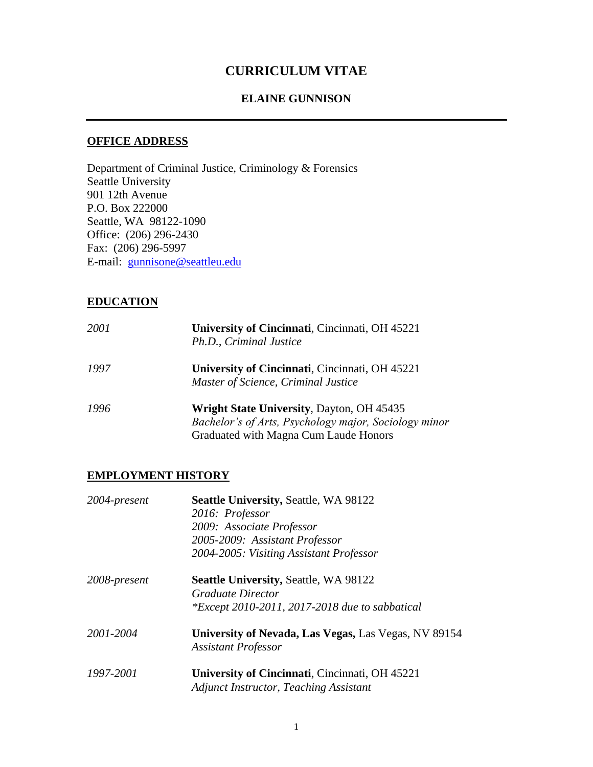# **CURRICULUM VITAE**

#### **ELAINE GUNNISON**

#### **OFFICE ADDRESS**

Department of Criminal Justice, Criminology & Forensics Seattle University 901 12th Avenue P.O. Box 222000 Seattle, WA 98122-1090 Office: (206) 296-2430 Fax: (206) 296-5997 E-mail: gunnisone@seattleu.edu

#### **EDUCATION**

| 2001 | University of Cincinnati, Cincinnati, OH 45221<br>Ph.D., Criminal Justice                                                                          |
|------|----------------------------------------------------------------------------------------------------------------------------------------------------|
| 1997 | University of Cincinnati, Cincinnati, OH 45221<br>Master of Science, Criminal Justice                                                              |
| 1996 | <b>Wright State University, Dayton, OH 45435</b><br>Bachelor's of Arts, Psychology major, Sociology minor<br>Graduated with Magna Cum Laude Honors |

#### **EMPLOYMENT HISTORY**

| 2004-present | <b>Seattle University, Seattle, WA 98122</b>                                       |
|--------------|------------------------------------------------------------------------------------|
|              | 2016: Professor                                                                    |
|              | 2009: Associate Professor                                                          |
|              | 2005-2009: Assistant Professor                                                     |
|              | 2004-2005: Visiting Assistant Professor                                            |
| 2008-present | <b>Seattle University, Seattle, WA 98122</b>                                       |
|              | <i>Graduate Director</i>                                                           |
|              | <i>*Except 2010-2011, 2017-2018 due to sabbatical</i>                              |
| 2001-2004    | University of Nevada, Las Vegas, Las Vegas, NV 89154<br><b>Assistant Professor</b> |
| 1997-2001    | University of Cincinnati, Cincinnati, OH 45221                                     |
|              | <b>Adjunct Instructor, Teaching Assistant</b>                                      |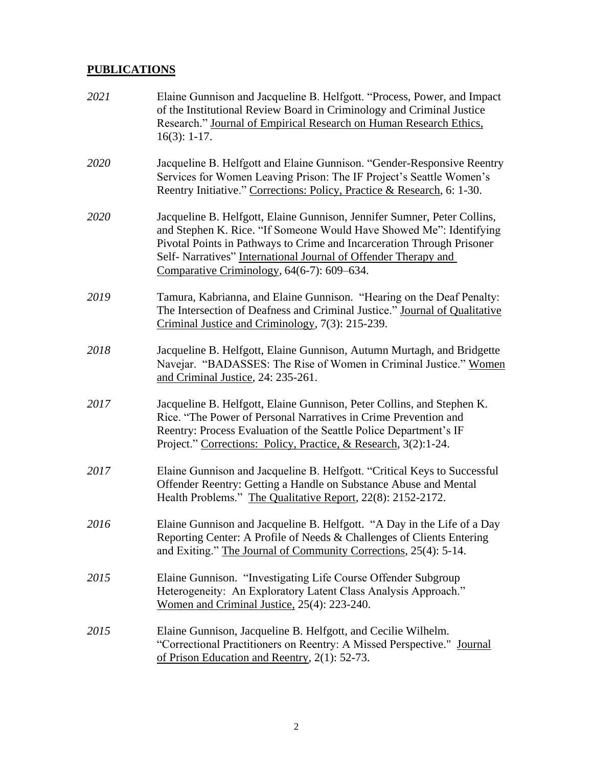## **PUBLICATIONS**

| 2021 | Elaine Gunnison and Jacqueline B. Helfgott. "Process, Power, and Impact<br>of the Institutional Review Board in Criminology and Criminal Justice<br>Research." Journal of Empirical Research on Human Research Ethics,<br>$16(3): 1-17.$                                                                                                   |
|------|--------------------------------------------------------------------------------------------------------------------------------------------------------------------------------------------------------------------------------------------------------------------------------------------------------------------------------------------|
| 2020 | Jacqueline B. Helfgott and Elaine Gunnison. "Gender-Responsive Reentry<br>Services for Women Leaving Prison: The IF Project's Seattle Women's<br>Reentry Initiative." Corrections: Policy, Practice & Research, 6: 1-30.                                                                                                                   |
| 2020 | Jacqueline B. Helfgott, Elaine Gunnison, Jennifer Sumner, Peter Collins,<br>and Stephen K. Rice. "If Someone Would Have Showed Me": Identifying<br>Pivotal Points in Pathways to Crime and Incarceration Through Prisoner<br>Self- Narratives" International Journal of Offender Therapy and<br>Comparative Criminology, 64(6-7): 609–634. |
| 2019 | Tamura, Kabrianna, and Elaine Gunnison. "Hearing on the Deaf Penalty:<br>The Intersection of Deafness and Criminal Justice." Journal of Qualitative<br>Criminal Justice and Criminology, 7(3): 215-239.                                                                                                                                    |
| 2018 | Jacqueline B. Helfgott, Elaine Gunnison, Autumn Murtagh, and Bridgette<br>Navejar. "BADASSES: The Rise of Women in Criminal Justice." Women<br>and Criminal Justice, 24: 235-261.                                                                                                                                                          |
| 2017 | Jacqueline B. Helfgott, Elaine Gunnison, Peter Collins, and Stephen K.<br>Rice. "The Power of Personal Narratives in Crime Prevention and<br>Reentry: Process Evaluation of the Seattle Police Department's IF<br>Project." Corrections: Policy, Practice, & Research, 3(2):1-24.                                                          |
| 2017 | Elaine Gunnison and Jacqueline B. Helfgott. "Critical Keys to Successful<br>Offender Reentry: Getting a Handle on Substance Abuse and Mental<br>Health Problems." The Qualitative Report, 22(8): 2152-2172.                                                                                                                                |
| 2016 | Elaine Gunnison and Jacqueline B. Helfgott. "A Day in the Life of a Day<br>Reporting Center: A Profile of Needs & Challenges of Clients Entering<br>and Exiting." The Journal of Community Corrections, 25(4): 5-14.                                                                                                                       |
| 2015 | Elaine Gunnison. "Investigating Life Course Offender Subgroup<br>Heterogeneity: An Exploratory Latent Class Analysis Approach."<br>Women and Criminal Justice, 25(4): 223-240.                                                                                                                                                             |
| 2015 | Elaine Gunnison, Jacqueline B. Helfgott, and Cecilie Wilhelm.<br>"Correctional Practitioners on Reentry: A Missed Perspective." Journal<br>of Prison Education and Reentry, 2(1): 52-73.                                                                                                                                                   |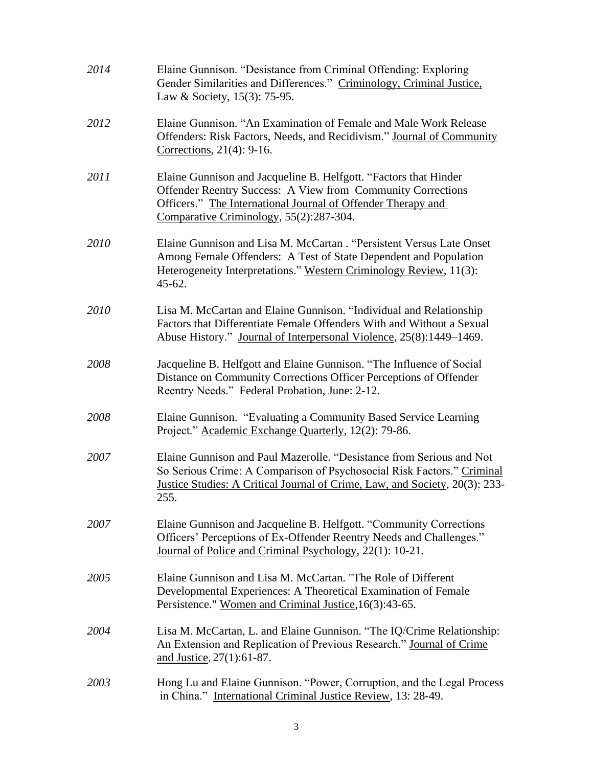| 2014 | Elaine Gunnison. "Desistance from Criminal Offending: Exploring<br>Gender Similarities and Differences." Criminology, Criminal Justice,<br>Law & Society, 15(3): 75-95.                                                                    |
|------|--------------------------------------------------------------------------------------------------------------------------------------------------------------------------------------------------------------------------------------------|
| 2012 | Elaine Gunnison. "An Examination of Female and Male Work Release<br>Offenders: Risk Factors, Needs, and Recidivism." Journal of Community<br>Corrections, 21(4): 9-16.                                                                     |
| 2011 | Elaine Gunnison and Jacqueline B. Helfgott. "Factors that Hinder<br>Offender Reentry Success: A View from Community Corrections<br>Officers." The International Journal of Offender Therapy and<br>Comparative Criminology, 55(2):287-304. |
| 2010 | Elaine Gunnison and Lisa M. McCartan. "Persistent Versus Late Onset<br>Among Female Offenders: A Test of State Dependent and Population<br>Heterogeneity Interpretations." Western Criminology Review, 11(3):<br>$45 - 62.$                |
| 2010 | Lisa M. McCartan and Elaine Gunnison. "Individual and Relationship<br>Factors that Differentiate Female Offenders With and Without a Sexual<br>Abuse History." Journal of Interpersonal Violence, 25(8):1449–1469.                         |
| 2008 | Jacqueline B. Helfgott and Elaine Gunnison. "The Influence of Social<br>Distance on Community Corrections Officer Perceptions of Offender<br>Reentry Needs." Federal Probation, June: 2-12.                                                |
| 2008 | Elaine Gunnison. "Evaluating a Community Based Service Learning<br>Project." Academic Exchange Quarterly, 12(2): 79-86.                                                                                                                    |
| 2007 | Elaine Gunnison and Paul Mazerolle. "Desistance from Serious and Not<br>So Serious Crime: A Comparison of Psychosocial Risk Factors." Criminal<br>Justice Studies: A Critical Journal of Crime, Law, and Society, 20(3): 233-<br>255.      |
| 2007 | Elaine Gunnison and Jacqueline B. Helfgott. "Community Corrections<br>Officers' Perceptions of Ex-Offender Reentry Needs and Challenges."<br>Journal of Police and Criminal Psychology, 22(1): 10-21.                                      |
| 2005 | Elaine Gunnison and Lisa M. McCartan. "The Role of Different<br>Developmental Experiences: A Theoretical Examination of Female<br>Persistence." Women and Criminal Justice, 16(3):43-65.                                                   |
| 2004 | Lisa M. McCartan, L. and Elaine Gunnison. "The IQ/Crime Relationship:<br>An Extension and Replication of Previous Research." Journal of Crime<br>and Justice, 27(1):61-87.                                                                 |
| 2003 | Hong Lu and Elaine Gunnison. "Power, Corruption, and the Legal Process<br>in China." International Criminal Justice Review, 13: 28-49.                                                                                                     |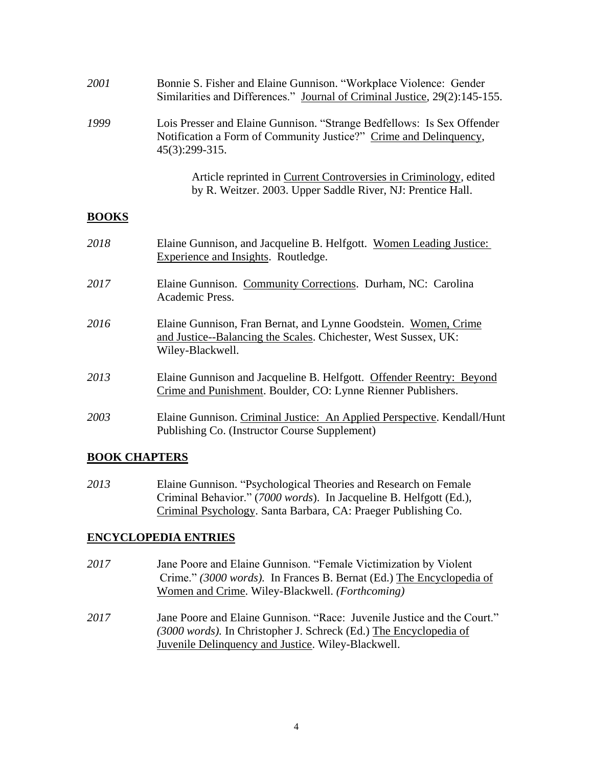| 2001         | Bonnie S. Fisher and Elaine Gunnison. "Workplace Violence: Gender<br>Similarities and Differences." Journal of Criminal Justice, 29(2):145-155.               |
|--------------|---------------------------------------------------------------------------------------------------------------------------------------------------------------|
| 1999         | Lois Presser and Elaine Gunnison. "Strange Bedfellows: Is Sex Offender<br>Notification a Form of Community Justice?" Crime and Delinquency,<br>45(3):299-315. |
|              | Article reprinted in Current Controversies in Criminology, edited<br>by R. Weitzer. 2003. Upper Saddle River, NJ: Prentice Hall.                              |
| <b>BOOKS</b> |                                                                                                                                                               |
| 2018         | Elaine Gunnison, and Jacqueline B. Helfgott. Women Leading Justice:<br><b>Experience and Insights. Routledge.</b>                                             |
| 2017         | Elaine Gunnison. Community Corrections. Durham, NC: Carolina<br>Academic Press.                                                                               |
| 2016         | Elaine Gunnison, Fran Bernat, and Lynne Goodstein. Women, Crime<br>and Justice--Balancing the Scales. Chichester, West Sussex, UK:<br>Wiley-Blackwell.        |
| 2013         | Elaine Gunnison and Jacqueline B. Helfgott. Offender Reentry: Beyond<br>Crime and Punishment. Boulder, CO: Lynne Rienner Publishers.                          |
| 2003         | Elaine Gunnison. Criminal Justice: An Applied Perspective. Kendall/Hunt<br>Publishing Co. (Instructor Course Supplement)                                      |

### **BOOK CHAPTERS**

*2013* Elaine Gunnison. "Psychological Theories and Research on Female Criminal Behavior." (*7000 words*). In Jacqueline B. Helfgott (Ed.), Criminal Psychology. Santa Barbara, CA: Praeger Publishing Co.

### **ENCYCLOPEDIA ENTRIES**

- *2017* Jane Poore and Elaine Gunnison. "Female Victimization by Violent Crime." *(3000 words).* In Frances B. Bernat (Ed.) The Encyclopedia of Women and Crime. Wiley-Blackwell. *(Forthcoming)*
- *2017* Jane Poore and Elaine Gunnison. "Race: Juvenile Justice and the Court." *(3000 words).* In Christopher J. Schreck (Ed.) The Encyclopedia of Juvenile Delinquency and Justice. Wiley-Blackwell.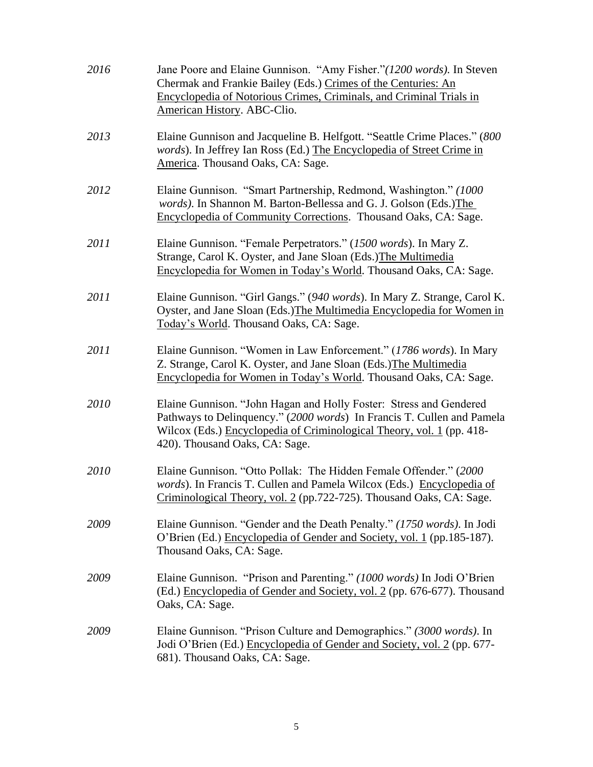| 2016 | Jane Poore and Elaine Gunnison. "Amy Fisher." (1200 words). In Steven<br>Chermak and Frankie Bailey (Eds.) Crimes of the Centuries: An<br>Encyclopedia of Notorious Crimes, Criminals, and Criminal Trials in<br>American History. ABC-Clio.            |
|------|---------------------------------------------------------------------------------------------------------------------------------------------------------------------------------------------------------------------------------------------------------|
| 2013 | Elaine Gunnison and Jacqueline B. Helfgott. "Seattle Crime Places." (800<br>words). In Jeffrey Ian Ross (Ed.) The Encyclopedia of Street Crime in<br>America. Thousand Oaks, CA: Sage.                                                                  |
| 2012 | Elaine Gunnison. "Smart Partnership, Redmond, Washington." (1000<br>words). In Shannon M. Barton-Bellessa and G. J. Golson (Eds.) The<br>Encyclopedia of Community Corrections. Thousand Oaks, CA: Sage.                                                |
| 2011 | Elaine Gunnison. "Female Perpetrators." (1500 words). In Mary Z.<br>Strange, Carol K. Oyster, and Jane Sloan (Eds.) The Multimedia<br>Encyclopedia for Women in Today's World. Thousand Oaks, CA: Sage.                                                 |
| 2011 | Elaine Gunnison. "Girl Gangs." (940 words). In Mary Z. Strange, Carol K.<br>Oyster, and Jane Sloan (Eds.) The Multimedia Encyclopedia for Women in<br>Today's World. Thousand Oaks, CA: Sage.                                                           |
| 2011 | Elaine Gunnison. "Women in Law Enforcement." (1786 words). In Mary<br>Z. Strange, Carol K. Oyster, and Jane Sloan (Eds.) The Multimedia<br>Encyclopedia for Women in Today's World. Thousand Oaks, CA: Sage.                                            |
| 2010 | Elaine Gunnison. "John Hagan and Holly Foster: Stress and Gendered<br>Pathways to Delinquency." (2000 words) In Francis T. Cullen and Pamela<br>Wilcox (Eds.) Encyclopedia of Criminological Theory, vol. 1 (pp. 418-<br>420). Thousand Oaks, CA: Sage. |
| 2010 | Elaine Gunnison. "Otto Pollak: The Hidden Female Offender." (2000)<br>words). In Francis T. Cullen and Pamela Wilcox (Eds.) Encyclopedia of<br>Criminological Theory, vol. 2 (pp.722-725). Thousand Oaks, CA: Sage.                                     |
| 2009 | Elaine Gunnison. "Gender and the Death Penalty." (1750 words). In Jodi<br>O'Brien (Ed.) Encyclopedia of Gender and Society, vol. 1 (pp.185-187).<br>Thousand Oaks, CA: Sage.                                                                            |
| 2009 | Elaine Gunnison. "Prison and Parenting." (1000 words) In Jodi O'Brien<br>(Ed.) Encyclopedia of Gender and Society, vol. 2 (pp. 676-677). Thousand<br>Oaks, CA: Sage.                                                                                    |
| 2009 | Elaine Gunnison. "Prison Culture and Demographics." (3000 words). In<br>Jodi O'Brien (Ed.) Encyclopedia of Gender and Society, vol. 2 (pp. 677-<br>681). Thousand Oaks, CA: Sage.                                                                       |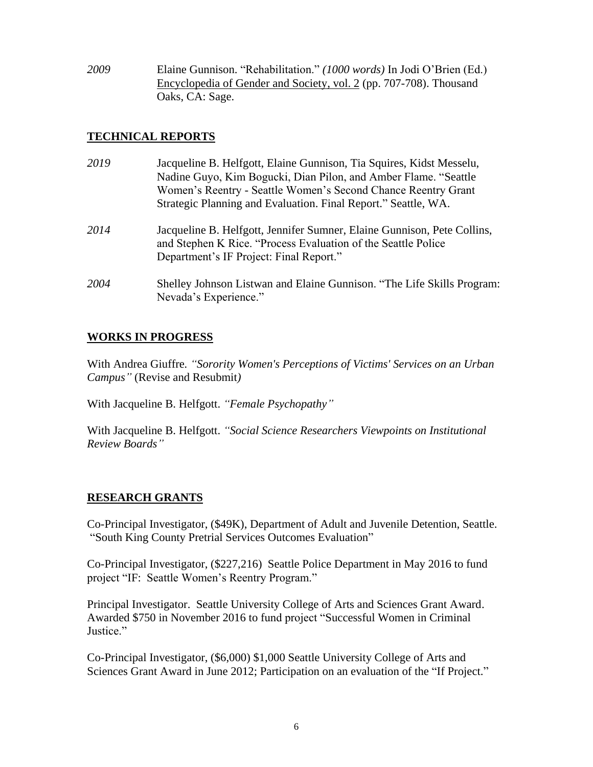*2009* Elaine Gunnison. "Rehabilitation." *(1000 words)* In Jodi O'Brien (Ed.) Encyclopedia of Gender and Society, vol. 2 (pp. 707-708). Thousand Oaks, CA: Sage.

# **TECHNICAL REPORTS**

| 2019 | Jacqueline B. Helfgott, Elaine Gunnison, Tia Squires, Kidst Messelu,<br>Nadine Guyo, Kim Bogucki, Dian Pilon, and Amber Flame. "Seattle<br>Women's Reentry - Seattle Women's Second Chance Reentry Grant<br>Strategic Planning and Evaluation. Final Report." Seattle, WA. |
|------|----------------------------------------------------------------------------------------------------------------------------------------------------------------------------------------------------------------------------------------------------------------------------|
| 2014 | Jacqueline B. Helfgott, Jennifer Sumner, Elaine Gunnison, Pete Collins,<br>and Stephen K Rice. "Process Evaluation of the Seattle Police<br>Department's IF Project: Final Report."                                                                                        |
| 2004 | Shelley Johnson Listwan and Elaine Gunnison. "The Life Skills Program:<br>Nevada's Experience."                                                                                                                                                                            |

# **WORKS IN PROGRESS**

With Andrea Giuffre*. "Sorority Women's Perceptions of Victims' Services on an Urban Campus"* (Revise and Resubmit*)*

With Jacqueline B. Helfgott. *"Female Psychopathy"*

With Jacqueline B. Helfgott. *"Social Science Researchers Viewpoints on Institutional Review Boards"*

# **RESEARCH GRANTS**

Co-Principal Investigator, (\$49K), Department of Adult and Juvenile Detention, Seattle. "South King County Pretrial Services Outcomes Evaluation"

Co-Principal Investigator, (\$227,216) Seattle Police Department in May 2016 to fund project "IF: Seattle Women's Reentry Program."

Principal Investigator. Seattle University College of Arts and Sciences Grant Award. Awarded \$750 in November 2016 to fund project "Successful Women in Criminal Justice."

Co-Principal Investigator, (\$6,000) \$1,000 Seattle University College of Arts and Sciences Grant Award in June 2012; Participation on an evaluation of the "If Project."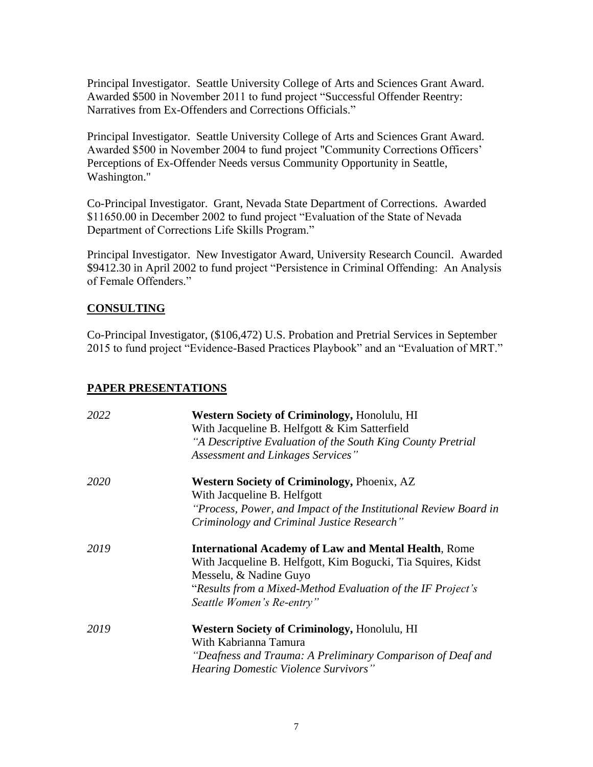Principal Investigator. Seattle University College of Arts and Sciences Grant Award. Awarded \$500 in November 2011 to fund project "Successful Offender Reentry: Narratives from Ex-Offenders and Corrections Officials."

Principal Investigator. Seattle University College of Arts and Sciences Grant Award. Awarded \$500 in November 2004 to fund project "Community Corrections Officers' Perceptions of Ex-Offender Needs versus Community Opportunity in Seattle, Washington."

Co-Principal Investigator. Grant, Nevada State Department of Corrections. Awarded \$11650.00 in December 2002 to fund project "Evaluation of the State of Nevada Department of Corrections Life Skills Program."

Principal Investigator. New Investigator Award, University Research Council. Awarded \$9412.30 in April 2002 to fund project "Persistence in Criminal Offending: An Analysis of Female Offenders."

#### **CONSULTING**

Co-Principal Investigator, (\$106,472) U.S. Probation and Pretrial Services in September 2015 to fund project "Evidence-Based Practices Playbook" and an "Evaluation of MRT."

#### **PAPER PRESENTATIONS**

| 2022 | Western Society of Criminology, Honolulu, HI                     |
|------|------------------------------------------------------------------|
|      | With Jacqueline B. Helfgott & Kim Satterfield                    |
|      | "A Descriptive Evaluation of the South King County Pretrial      |
|      | Assessment and Linkages Services"                                |
| 2020 | <b>Western Society of Criminology, Phoenix, AZ</b>               |
|      | With Jacqueline B. Helfgott                                      |
|      | "Process, Power, and Impact of the Institutional Review Board in |
|      | Criminology and Criminal Justice Research"                       |
| 2019 | <b>International Academy of Law and Mental Health, Rome</b>      |
|      | With Jacqueline B. Helfgott, Kim Bogucki, Tia Squires, Kidst     |
|      | Messelu, & Nadine Guyo                                           |
|      | "Results from a Mixed-Method Evaluation of the IF Project's      |
|      | Seattle Women's Re-entry"                                        |
| 2019 | <b>Western Society of Criminology, Honolulu, HI</b>              |
|      | With Kabrianna Tamura                                            |
|      | "Deafness and Trauma: A Preliminary Comparison of Deaf and       |
|      | <i>Hearing Domestic Violence Survivors</i> "                     |
|      |                                                                  |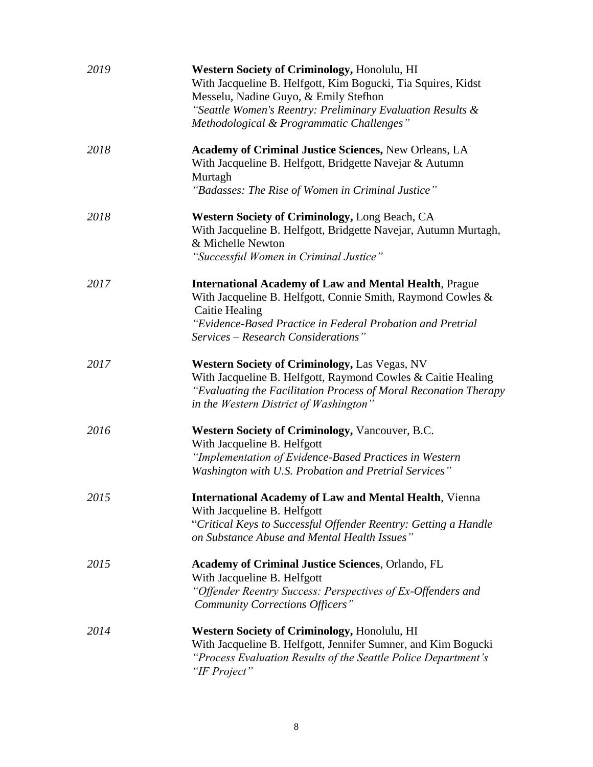| 2019 | Western Society of Criminology, Honolulu, HI<br>With Jacqueline B. Helfgott, Kim Bogucki, Tia Squires, Kidst<br>Messelu, Nadine Guyo, & Emily Stefhon<br>"Seattle Women's Reentry: Preliminary Evaluation Results &<br>Methodological & Programmatic Challenges" |
|------|------------------------------------------------------------------------------------------------------------------------------------------------------------------------------------------------------------------------------------------------------------------|
| 2018 | <b>Academy of Criminal Justice Sciences, New Orleans, LA</b><br>With Jacqueline B. Helfgott, Bridgette Navejar & Autumn<br>Murtagh<br>"Badasses: The Rise of Women in Criminal Justice"                                                                          |
| 2018 | <b>Western Society of Criminology, Long Beach, CA</b><br>With Jacqueline B. Helfgott, Bridgette Navejar, Autumn Murtagh,<br>& Michelle Newton<br>"Successful Women in Criminal Justice"                                                                          |
| 2017 | <b>International Academy of Law and Mental Health, Prague</b><br>With Jacqueline B. Helfgott, Connie Smith, Raymond Cowles &<br>Caitie Healing<br>"Evidence-Based Practice in Federal Probation and Pretrial<br>Services – Research Considerations"              |
| 2017 | <b>Western Society of Criminology, Las Vegas, NV</b><br>With Jacqueline B. Helfgott, Raymond Cowles & Caitie Healing<br>"Evaluating the Facilitation Process of Moral Reconation Therapy<br>in the Western District of Washington"                               |
| 2016 | <b>Western Society of Criminology, Vancouver, B.C.</b><br>With Jacqueline B. Helfgott<br>"Implementation of Evidence-Based Practices in Western<br>Washington with U.S. Probation and Pretrial Services"                                                         |
| 2015 | <b>International Academy of Law and Mental Health, Vienna</b><br>With Jacqueline B. Helfgott<br>"Critical Keys to Successful Offender Reentry: Getting a Handle<br>on Substance Abuse and Mental Health Issues"                                                  |
| 2015 | <b>Academy of Criminal Justice Sciences, Orlando, FL</b><br>With Jacqueline B. Helfgott<br>"Offender Reentry Success: Perspectives of Ex-Offenders and<br><b>Community Corrections Officers</b> "                                                                |
| 2014 | Western Society of Criminology, Honolulu, HI<br>With Jacqueline B. Helfgott, Jennifer Sumner, and Kim Bogucki<br>"Process Evaluation Results of the Seattle Police Department's<br>"IF Project"                                                                  |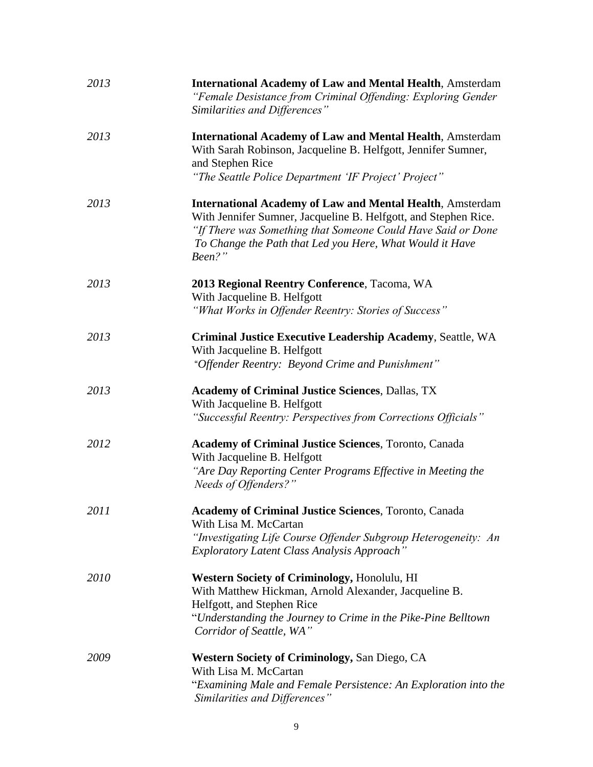| 2013 | <b>International Academy of Law and Mental Health, Amsterdam</b><br>"Female Desistance from Criminal Offending: Exploring Gender<br>Similarities and Differences"                                                                                                         |
|------|---------------------------------------------------------------------------------------------------------------------------------------------------------------------------------------------------------------------------------------------------------------------------|
| 2013 | <b>International Academy of Law and Mental Health, Amsterdam</b><br>With Sarah Robinson, Jacqueline B. Helfgott, Jennifer Sumner,<br>and Stephen Rice<br>"The Seattle Police Department 'IF Project' Project"                                                             |
| 2013 | <b>International Academy of Law and Mental Health, Amsterdam</b><br>With Jennifer Sumner, Jacqueline B. Helfgott, and Stephen Rice.<br>"If There was Something that Someone Could Have Said or Done<br>To Change the Path that Led you Here, What Would it Have<br>Been?" |
| 2013 | 2013 Regional Reentry Conference, Tacoma, WA<br>With Jacqueline B. Helfgott<br>"What Works in Offender Reentry: Stories of Success"                                                                                                                                       |
| 2013 | Criminal Justice Executive Leadership Academy, Seattle, WA<br>With Jacqueline B. Helfgott<br>"Offender Reentry: Beyond Crime and Punishment"                                                                                                                              |
| 2013 | <b>Academy of Criminal Justice Sciences, Dallas, TX</b><br>With Jacqueline B. Helfgott<br>"Successful Reentry: Perspectives from Corrections Officials"                                                                                                                   |
| 2012 | <b>Academy of Criminal Justice Sciences</b> , Toronto, Canada<br>With Jacqueline B. Helfgott<br>"Are Day Reporting Center Programs Effective in Meeting the<br>Needs of Offenders?"                                                                                       |
| 2011 | <b>Academy of Criminal Justice Sciences</b> , Toronto, Canada<br>With Lisa M. McCartan<br>"Investigating Life Course Offender Subgroup Heterogeneity: An<br>Exploratory Latent Class Analysis Approach"                                                                   |
| 2010 | Western Society of Criminology, Honolulu, HI<br>With Matthew Hickman, Arnold Alexander, Jacqueline B.<br>Helfgott, and Stephen Rice<br>"Understanding the Journey to Crime in the Pike-Pine Belltown<br>Corridor of Seattle, WA"                                          |
| 2009 | <b>Western Society of Criminology, San Diego, CA</b><br>With Lisa M. McCartan<br>"Examining Male and Female Persistence: An Exploration into the<br>Similarities and Differences"                                                                                         |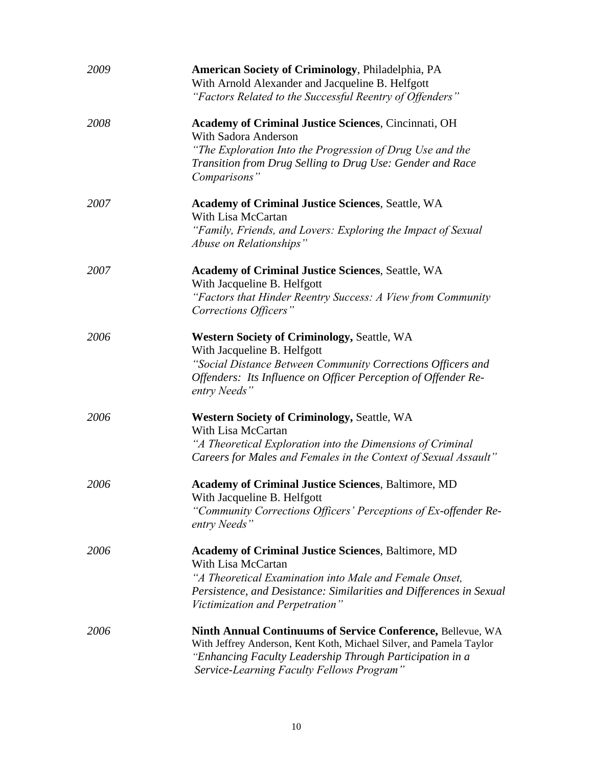| 2009 | American Society of Criminology, Philadelphia, PA<br>With Arnold Alexander and Jacqueline B. Helfgott<br>"Factors Related to the Successful Reentry of Offenders"                                                                                    |
|------|------------------------------------------------------------------------------------------------------------------------------------------------------------------------------------------------------------------------------------------------------|
| 2008 | <b>Academy of Criminal Justice Sciences, Cincinnati, OH</b><br><b>With Sadora Anderson</b><br>"The Exploration Into the Progression of Drug Use and the<br>Transition from Drug Selling to Drug Use: Gender and Race<br>Comparisons"                 |
| 2007 | <b>Academy of Criminal Justice Sciences, Seattle, WA</b><br>With Lisa McCartan<br>"Family, Friends, and Lovers: Exploring the Impact of Sexual<br>Abuse on Relationships"                                                                            |
| 2007 | <b>Academy of Criminal Justice Sciences, Seattle, WA</b><br>With Jacqueline B. Helfgott<br>"Factors that Hinder Reentry Success: A View from Community<br>Corrections Officers"                                                                      |
| 2006 | <b>Western Society of Criminology, Seattle, WA</b><br>With Jacqueline B. Helfgott<br>"Social Distance Between Community Corrections Officers and<br>Offenders: Its Influence on Officer Perception of Offender Re-<br>entry Needs"                   |
| 2006 | <b>Western Society of Criminology, Seattle, WA</b><br>With Lisa McCartan<br>"A Theoretical Exploration into the Dimensions of Criminal<br>Careers for Males and Females in the Context of Sexual Assault"                                            |
| 2006 | <b>Academy of Criminal Justice Sciences, Baltimore, MD</b><br>With Jacqueline B. Helfgott<br>"Community Corrections Officers' Perceptions of Ex-offender Re-<br>entry Needs"                                                                         |
| 2006 | <b>Academy of Criminal Justice Sciences, Baltimore, MD</b><br>With Lisa McCartan<br>"A Theoretical Examination into Male and Female Onset,<br>Persistence, and Desistance: Similarities and Differences in Sexual<br>Victimization and Perpetration" |
| 2006 | <b>Ninth Annual Continuums of Service Conference, Bellevue, WA</b><br>With Jeffrey Anderson, Kent Koth, Michael Silver, and Pamela Taylor<br>"Enhancing Faculty Leadership Through Participation in a<br>Service-Learning Faculty Fellows Program"   |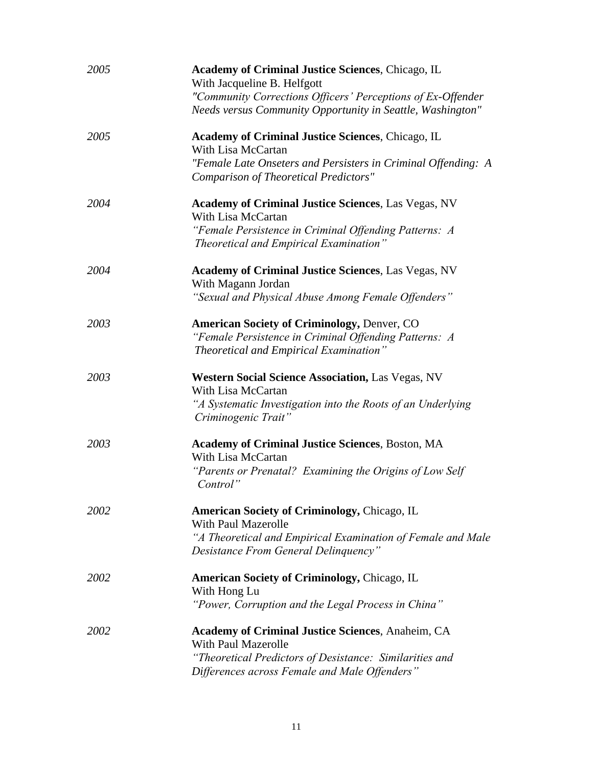| 2005 | <b>Academy of Criminal Justice Sciences, Chicago, IL</b><br>With Jacqueline B. Helfgott<br>"Community Corrections Officers' Perceptions of Ex-Offender |
|------|--------------------------------------------------------------------------------------------------------------------------------------------------------|
|      | Needs versus Community Opportunity in Seattle, Washington"                                                                                             |
| 2005 | <b>Academy of Criminal Justice Sciences, Chicago, IL</b><br>With Lisa McCartan                                                                         |
|      | "Female Late Onseters and Persisters in Criminal Offending: A<br>Comparison of Theoretical Predictors"                                                 |
| 2004 | <b>Academy of Criminal Justice Sciences, Las Vegas, NV</b><br>With Lisa McCartan                                                                       |
|      | "Female Persistence in Criminal Offending Patterns: A<br>Theoretical and Empirical Examination"                                                        |
| 2004 | <b>Academy of Criminal Justice Sciences, Las Vegas, NV</b><br>With Magann Jordan                                                                       |
|      | "Sexual and Physical Abuse Among Female Offenders"                                                                                                     |
| 2003 | <b>American Society of Criminology, Denver, CO</b><br>"Female Persistence in Criminal Offending Patterns: A<br>Theoretical and Empirical Examination"  |
| 2003 | <b>Western Social Science Association, Las Vegas, NV</b><br>With Lisa McCartan                                                                         |
|      | "A Systematic Investigation into the Roots of an Underlying<br>Criminogenic Trait"                                                                     |
| 2003 | <b>Academy of Criminal Justice Sciences, Boston, MA</b><br>With Lisa McCartan                                                                          |
|      | "Parents or Prenatal? Examining the Origins of Low Self<br>Control"                                                                                    |
| 2002 | <b>American Society of Criminology, Chicago, IL</b><br><b>With Paul Mazerolle</b>                                                                      |
|      | "A Theoretical and Empirical Examination of Female and Male<br>Desistance From General Delinquency"                                                    |
| 2002 | <b>American Society of Criminology, Chicago, IL</b><br>With Hong Lu                                                                                    |
|      | "Power, Corruption and the Legal Process in China"                                                                                                     |
| 2002 | <b>Academy of Criminal Justice Sciences, Anaheim, CA</b><br><b>With Paul Mazerolle</b>                                                                 |
|      | "Theoretical Predictors of Desistance: Similarities and<br>Differences across Female and Male Offenders"                                               |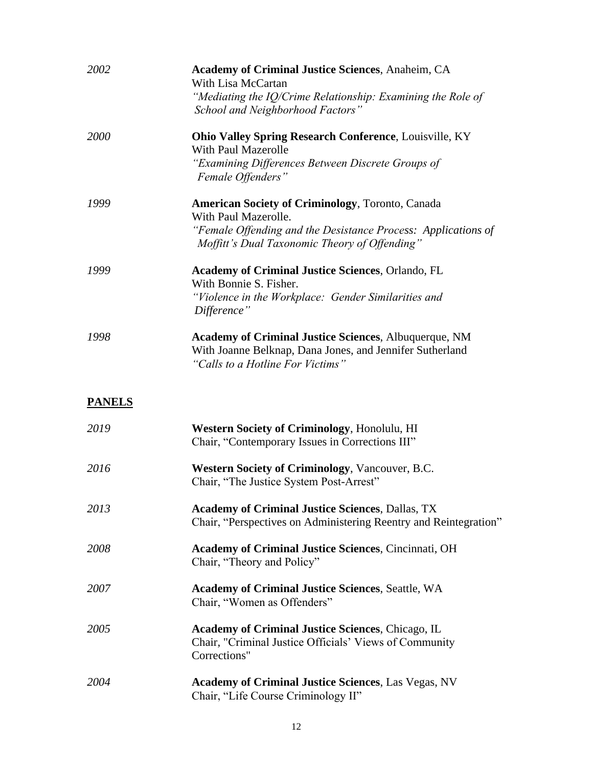| 2002          | <b>Academy of Criminal Justice Sciences, Anaheim, CA</b><br>With Lisa McCartan<br>"Mediating the IQ/Crime Relationship: Examining the Role of<br>School and Neighborhood Factors"                                       |
|---------------|-------------------------------------------------------------------------------------------------------------------------------------------------------------------------------------------------------------------------|
| 2000          | <b>Ohio Valley Spring Research Conference, Louisville, KY</b><br><b>With Paul Mazerolle</b><br>"Examining Differences Between Discrete Groups of                                                                        |
| 1999          | Female Offenders"<br><b>American Society of Criminology</b> , Toronto, Canada<br>With Paul Mazerolle.<br>"Female Offending and the Desistance Process: Applications of<br>Moffitt's Dual Taxonomic Theory of Offending" |
| 1999          | Academy of Criminal Justice Sciences, Orlando, FL<br>With Bonnie S. Fisher.<br>"Violence in the Workplace: Gender Similarities and<br>Difference"                                                                       |
| 1998          | <b>Academy of Criminal Justice Sciences, Albuquerque, NM</b><br>With Joanne Belknap, Dana Jones, and Jennifer Sutherland<br>"Calls to a Hotline For Victims"                                                            |
| <b>PANELS</b> |                                                                                                                                                                                                                         |
| 2019          | <b>Western Society of Criminology, Honolulu, HI</b><br>Chair, "Contemporary Issues in Corrections III"                                                                                                                  |
| 2016          | <b>Western Society of Criminology, Vancouver, B.C.</b><br>Chair, "The Justice System Post-Arrest"                                                                                                                       |
| 2013          | <b>Academy of Criminal Justice Sciences, Dallas, TX</b><br>Chair, "Perspectives on Administering Reentry and Reintegration"                                                                                             |
| 2008          | <b>Academy of Criminal Justice Sciences, Cincinnati, OH</b><br>Chair, "Theory and Policy"                                                                                                                               |
| 2007          | <b>Academy of Criminal Justice Sciences, Seattle, WA</b><br>Chair, "Women as Offenders"                                                                                                                                 |
| 2005          | <b>Academy of Criminal Justice Sciences, Chicago, IL</b><br>Chair, "Criminal Justice Officials' Views of Community<br>Corrections"                                                                                      |
| 2004          | <b>Academy of Criminal Justice Sciences, Las Vegas, NV</b><br>Chair, "Life Course Criminology II"                                                                                                                       |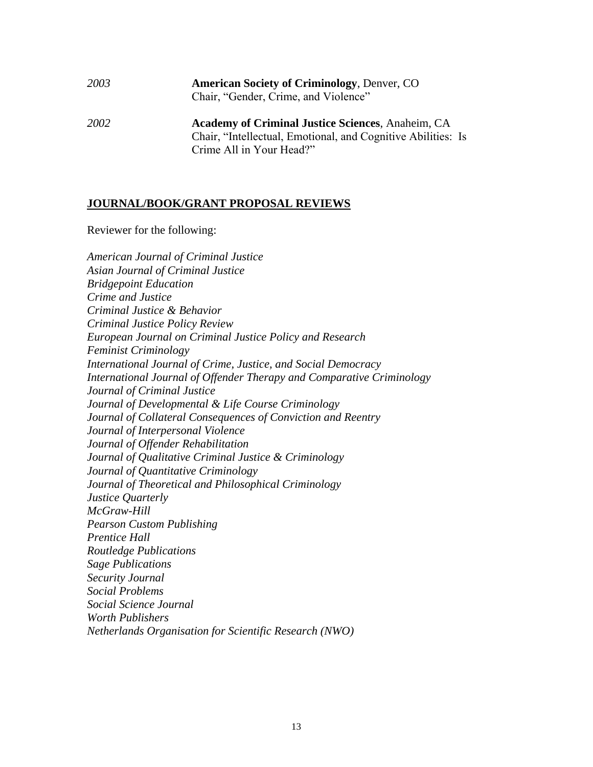# *2003* **American Society of Criminology**, Denver, CO Chair, "Gender, Crime, and Violence" *2002* **Academy of Criminal Justice Sciences**, Anaheim, CA Chair, "Intellectual, Emotional, and Cognitive Abilities: Is

Crime All in Your Head?"

#### **JOURNAL/BOOK/GRANT PROPOSAL REVIEWS**

Reviewer for the following:

*American Journal of Criminal Justice Asian Journal of Criminal Justice Bridgepoint Education Crime and Justice Criminal Justice & Behavior Criminal Justice Policy Review European Journal on Criminal Justice Policy and Research Feminist Criminology International Journal of Crime, Justice, and Social Democracy International Journal of Offender Therapy and Comparative Criminology Journal of Criminal Justice Journal of Developmental & Life Course Criminology Journal of Collateral Consequences of Conviction and Reentry Journal of Interpersonal Violence Journal of Offender Rehabilitation Journal of Qualitative Criminal Justice & Criminology Journal of Quantitative Criminology Journal of Theoretical and Philosophical Criminology Justice Quarterly McGraw-Hill Pearson Custom Publishing Prentice Hall Routledge Publications Sage Publications Security Journal Social Problems Social Science Journal Worth Publishers Netherlands Organisation for Scientific Research (NWO)*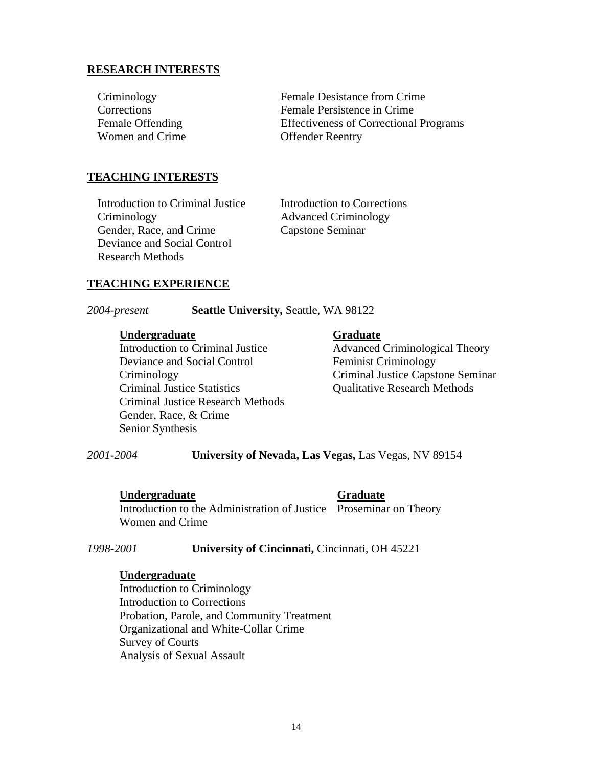#### **RESEARCH INTERESTS**

| <b>Effectiveness of Correctional Programs</b> |
|-----------------------------------------------|
|                                               |
|                                               |

#### **TEACHING INTERESTS**

Introduction to Criminal Justice Introduction to Corrections Criminology Advanced Criminology Gender, Race, and Crime Capstone Seminar Deviance and Social Control Research Methods

#### **TEACHING EXPERIENCE**

*2004-present* **Seattle University,** Seattle, WA 98122

#### **Undergraduate Graduate**

Introduction to Criminal Justice Advanced Criminological Theory Deviance and Social Control Feminist Criminology Criminal Justice Statistics Qualitative Research Methods Criminal Justice Research Methods Gender, Race, & Crime Senior Synthesis

Criminology Criminal Justice Capstone Seminar

*2001-2004* **University of Nevada, Las Vegas,** Las Vegas, NV 89154

#### **Undergraduate Graduate**

Introduction to the Administration of Justice Proseminar on Theory Women and Crime

*1998-2001* **University of Cincinnati,** Cincinnati, OH 45221

#### **Undergraduate**

Introduction to Criminology Introduction to Corrections Probation, Parole, and Community Treatment Organizational and White-Collar Crime Survey of Courts Analysis of Sexual Assault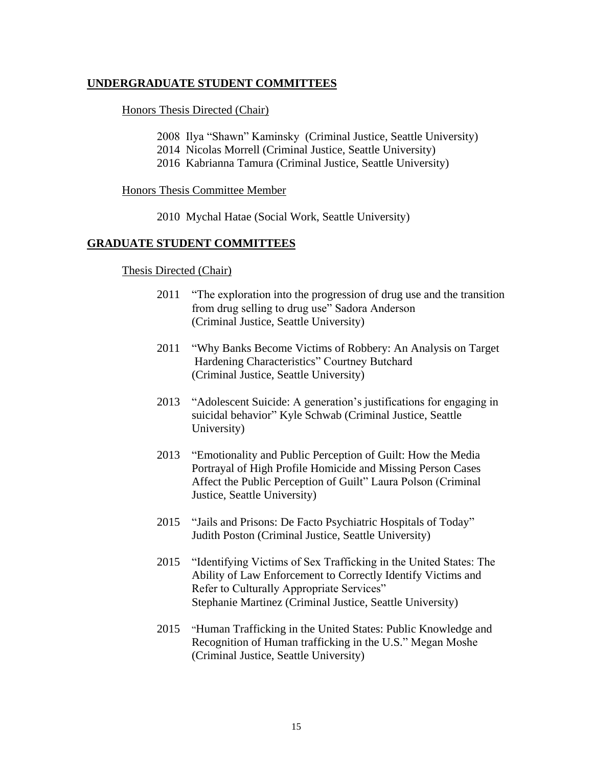#### **UNDERGRADUATE STUDENT COMMITTEES**

Honors Thesis Directed (Chair)

- 2008 Ilya "Shawn" Kaminsky (Criminal Justice, Seattle University)
- 2014 Nicolas Morrell (Criminal Justice, Seattle University)
- 2016 Kabrianna Tamura (Criminal Justice, Seattle University)

Honors Thesis Committee Member

2010 Mychal Hatae (Social Work, Seattle University)

#### **GRADUATE STUDENT COMMITTEES**

#### Thesis Directed (Chair)

- 2011 "The exploration into the progression of drug use and the transition from drug selling to drug use" Sadora Anderson (Criminal Justice, Seattle University)
- 2011 "Why Banks Become Victims of Robbery: An Analysis on Target Hardening Characteristics" Courtney Butchard (Criminal Justice, Seattle University)
- 2013 "Adolescent Suicide: A generation's justifications for engaging in suicidal behavior" Kyle Schwab (Criminal Justice, Seattle University)
- 2013 "Emotionality and Public Perception of Guilt: How the Media Portrayal of High Profile Homicide and Missing Person Cases Affect the Public Perception of Guilt" Laura Polson (Criminal Justice, Seattle University)
- 2015 "Jails and Prisons: De Facto Psychiatric Hospitals of Today" Judith Poston (Criminal Justice, Seattle University)
- 2015 "Identifying Victims of Sex Trafficking in the United States: The Ability of Law Enforcement to Correctly Identify Victims and Refer to Culturally Appropriate Services" Stephanie Martinez (Criminal Justice, Seattle University)
- 2015 "Human Trafficking in the United States: Public Knowledge and Recognition of Human trafficking in the U.S." Megan Moshe (Criminal Justice, Seattle University)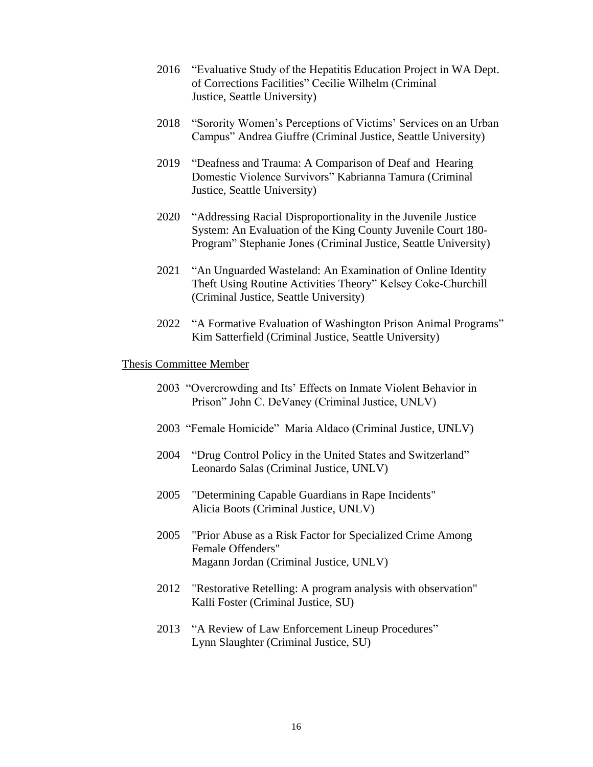- 2016 "Evaluative Study of the Hepatitis Education Project in WA Dept. of Corrections Facilities" Cecilie Wilhelm (Criminal Justice, Seattle University)
- 2018 "Sorority Women's Perceptions of Victims' Services on an Urban Campus" Andrea Giuffre (Criminal Justice, Seattle University)
- 2019 "Deafness and Trauma: A Comparison of Deaf and Hearing Domestic Violence Survivors" Kabrianna Tamura (Criminal Justice, Seattle University)
- 2020 "Addressing Racial Disproportionality in the Juvenile Justice System: An Evaluation of the King County Juvenile Court 180- Program" Stephanie Jones (Criminal Justice, Seattle University)
- 2021 "An Unguarded Wasteland: An Examination of Online Identity Theft Using Routine Activities Theory" Kelsey Coke-Churchill (Criminal Justice, Seattle University)
- 2022 "A Formative Evaluation of Washington Prison Animal Programs" Kim Satterfield (Criminal Justice, Seattle University)

#### Thesis Committee Member

- 2003 "Overcrowding and Its' Effects on Inmate Violent Behavior in Prison" John C. DeVaney (Criminal Justice, UNLV)
- 2003 "Female Homicide" Maria Aldaco (Criminal Justice, UNLV)
- 2004 "Drug Control Policy in the United States and Switzerland" Leonardo Salas (Criminal Justice, UNLV)
- 2005 "Determining Capable Guardians in Rape Incidents" Alicia Boots (Criminal Justice, UNLV)
- 2005 "Prior Abuse as a Risk Factor for Specialized Crime Among Female Offenders" Magann Jordan (Criminal Justice, UNLV)
- 2012 "Restorative Retelling: A program analysis with observation" Kalli Foster (Criminal Justice, SU)
- 2013 "A Review of Law Enforcement Lineup Procedures" Lynn Slaughter (Criminal Justice, SU)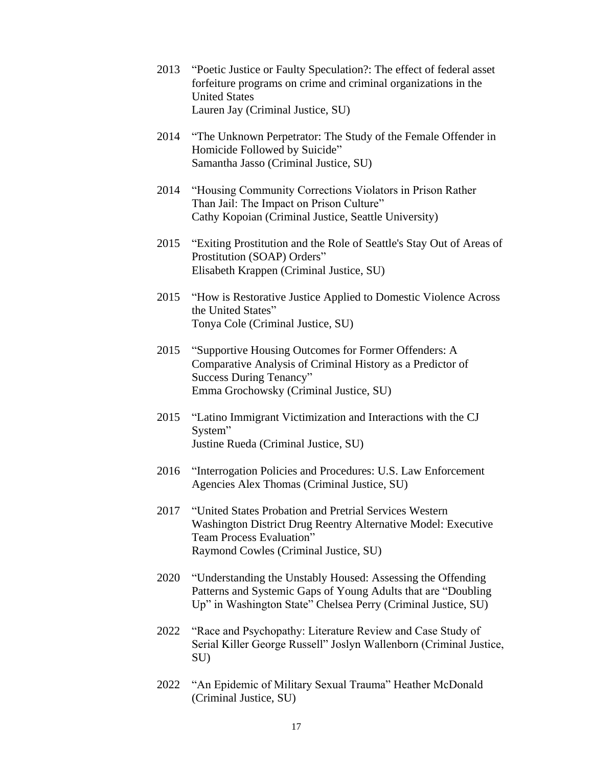- 2013 "Poetic Justice or Faulty Speculation?: The effect of federal asset forfeiture programs on crime and criminal organizations in the United States Lauren Jay (Criminal Justice, SU)
- 2014 "The Unknown Perpetrator: The Study of the Female Offender in Homicide Followed by Suicide" Samantha Jasso (Criminal Justice, SU)
- 2014 "Housing Community Corrections Violators in Prison Rather Than Jail: The Impact on Prison Culture" Cathy Kopoian (Criminal Justice, Seattle University)
- 2015 "Exiting Prostitution and the Role of Seattle's Stay Out of Areas of Prostitution (SOAP) Orders" Elisabeth Krappen (Criminal Justice, SU)
- 2015 "How is Restorative Justice Applied to Domestic Violence Across the United States" Tonya Cole (Criminal Justice, SU)
- 2015 "Supportive Housing Outcomes for Former Offenders: A Comparative Analysis of Criminal History as a Predictor of Success During Tenancy" Emma Grochowsky (Criminal Justice, SU)
- 2015 "Latino Immigrant Victimization and Interactions with the CJ System" Justine Rueda (Criminal Justice, SU)
- 2016 "Interrogation Policies and Procedures: U.S. Law Enforcement Agencies Alex Thomas (Criminal Justice, SU)
- 2017 "United States Probation and Pretrial Services Western Washington District Drug Reentry Alternative Model: Executive Team Process Evaluation" Raymond Cowles (Criminal Justice, SU)
- 2020 "Understanding the Unstably Housed: Assessing the Offending Patterns and Systemic Gaps of Young Adults that are "Doubling Up" in Washington State" Chelsea Perry (Criminal Justice, SU)
- 2022 "Race and Psychopathy: Literature Review and Case Study of Serial Killer George Russell" Joslyn Wallenborn (Criminal Justice, SU)
- 2022 "An Epidemic of Military Sexual Trauma" Heather McDonald (Criminal Justice, SU)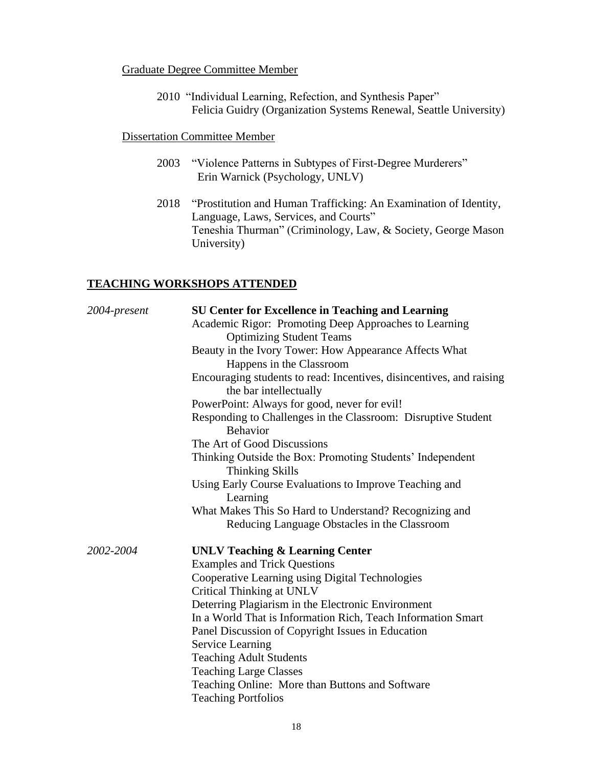#### Graduate Degree Committee Member

2010 "Individual Learning, Refection, and Synthesis Paper" Felicia Guidry (Organization Systems Renewal, Seattle University)

#### Dissertation Committee Member

- 2003 "Violence Patterns in Subtypes of First-Degree Murderers" Erin Warnick (Psychology, UNLV)
- 2018 "Prostitution and Human Trafficking: An Examination of Identity, Language, Laws, Services, and Courts" Teneshia Thurman" (Criminology, Law, & Society, George Mason University)

## **TEACHING WORKSHOPS ATTENDED**

| 2004-present | <b>SU Center for Excellence in Teaching and Learning</b>                                       |  |  |
|--------------|------------------------------------------------------------------------------------------------|--|--|
|              | Academic Rigor: Promoting Deep Approaches to Learning<br><b>Optimizing Student Teams</b>       |  |  |
|              | Beauty in the Ivory Tower: How Appearance Affects What<br>Happens in the Classroom             |  |  |
|              | Encouraging students to read: Incentives, disincentives, and raising<br>the bar intellectually |  |  |
|              | PowerPoint: Always for good, never for evil!                                                   |  |  |
|              | Responding to Challenges in the Classroom: Disruptive Student<br><b>Behavior</b>               |  |  |
|              | The Art of Good Discussions                                                                    |  |  |
|              | Thinking Outside the Box: Promoting Students' Independent<br><b>Thinking Skills</b>            |  |  |
|              | Using Early Course Evaluations to Improve Teaching and<br>Learning                             |  |  |
|              | What Makes This So Hard to Understand? Recognizing and                                         |  |  |
|              | Reducing Language Obstacles in the Classroom                                                   |  |  |
| 2002-2004    | <b>UNLV Teaching &amp; Learning Center</b>                                                     |  |  |
|              | <b>Examples and Trick Questions</b>                                                            |  |  |
|              | Cooperative Learning using Digital Technologies                                                |  |  |
|              | Critical Thinking at UNLV                                                                      |  |  |
|              | Deterring Plagiarism in the Electronic Environment                                             |  |  |
|              | In a World That is Information Rich, Teach Information Smart                                   |  |  |
|              | Panel Discussion of Copyright Issues in Education                                              |  |  |
|              | Service Learning                                                                               |  |  |
|              | <b>Teaching Adult Students</b>                                                                 |  |  |
|              | <b>Teaching Large Classes</b>                                                                  |  |  |
|              | Teaching Online: More than Buttons and Software                                                |  |  |
|              | <b>Teaching Portfolios</b>                                                                     |  |  |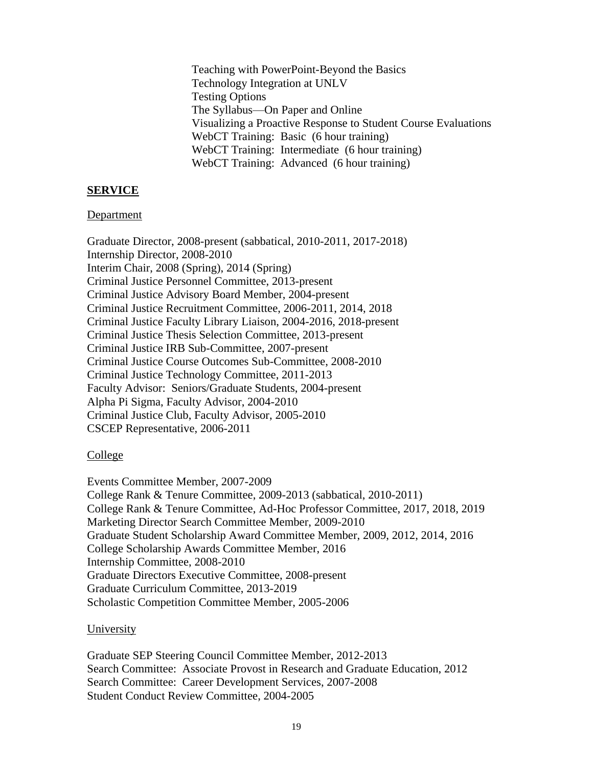Teaching with PowerPoint-Beyond the Basics Technology Integration at UNLV Testing Options The Syllabus—On Paper and Online Visualizing a Proactive Response to Student Course Evaluations WebCT Training: Basic (6 hour training) WebCT Training: Intermediate (6 hour training) WebCT Training: Advanced (6 hour training)

#### **SERVICE**

#### Department

Graduate Director, 2008-present (sabbatical, 2010-2011, 2017-2018) Internship Director, 2008-2010 Interim Chair, 2008 (Spring), 2014 (Spring) Criminal Justice Personnel Committee, 2013-present Criminal Justice Advisory Board Member, 2004-present Criminal Justice Recruitment Committee, 2006-2011, 2014, 2018 Criminal Justice Faculty Library Liaison, 2004-2016, 2018-present Criminal Justice Thesis Selection Committee, 2013-present Criminal Justice IRB Sub-Committee, 2007-present Criminal Justice Course Outcomes Sub-Committee, 2008-2010 Criminal Justice Technology Committee, 2011-2013 Faculty Advisor: Seniors/Graduate Students, 2004-present Alpha Pi Sigma, Faculty Advisor, 2004-2010 Criminal Justice Club, Faculty Advisor, 2005-2010 CSCEP Representative, 2006-2011

#### College

Events Committee Member, 2007-2009 College Rank & Tenure Committee, 2009-2013 (sabbatical, 2010-2011) College Rank & Tenure Committee, Ad-Hoc Professor Committee, 2017, 2018, 2019 Marketing Director Search Committee Member, 2009-2010 Graduate Student Scholarship Award Committee Member, 2009, 2012, 2014, 2016 College Scholarship Awards Committee Member, 2016 Internship Committee, 2008-2010 Graduate Directors Executive Committee, 2008-present Graduate Curriculum Committee, 2013-2019 Scholastic Competition Committee Member, 2005-2006

#### University

Graduate SEP Steering Council Committee Member, 2012-2013 Search Committee: Associate Provost in Research and Graduate Education, 2012 Search Committee: Career Development Services, 2007-2008 Student Conduct Review Committee, 2004-2005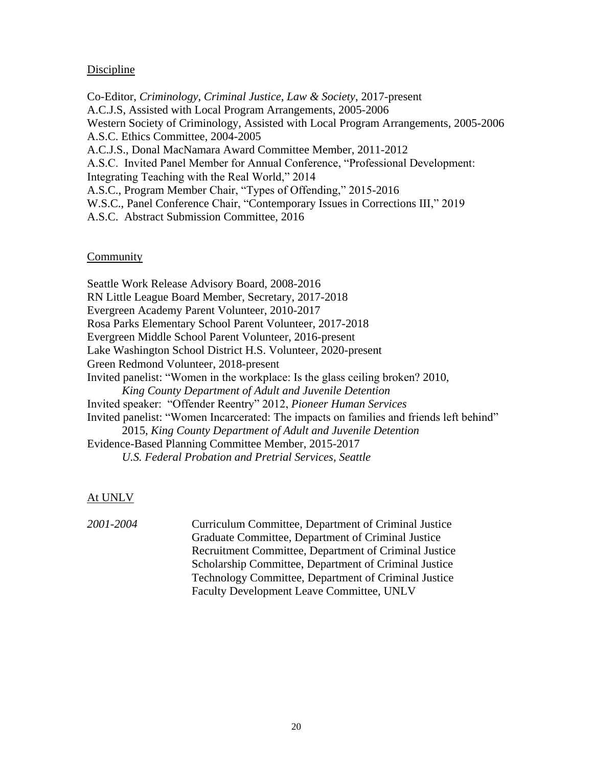#### Discipline

Co-Editor, *Criminology, Criminal Justice, Law & Society*, 2017-present A.C.J.S, Assisted with Local Program Arrangements, 2005-2006 Western Society of Criminology, Assisted with Local Program Arrangements, 2005-2006 A.S.C. Ethics Committee, 2004-2005 A.C.J.S., Donal MacNamara Award Committee Member, 2011-2012 A.S.C. Invited Panel Member for Annual Conference, "Professional Development: Integrating Teaching with the Real World," 2014 A.S.C., Program Member Chair, "Types of Offending," 2015-2016 W.S.C., Panel Conference Chair, "Contemporary Issues in Corrections III," 2019 A.S.C. Abstract Submission Committee, 2016

#### **Community**

Seattle Work Release Advisory Board, 2008-2016 RN Little League Board Member, Secretary, 2017-2018 Evergreen Academy Parent Volunteer, 2010-2017 Rosa Parks Elementary School Parent Volunteer, 2017-2018 Evergreen Middle School Parent Volunteer, 2016-present Lake Washington School District H.S. Volunteer, 2020-present Green Redmond Volunteer, 2018-present Invited panelist: "Women in the workplace: Is the glass ceiling broken? 2010, *King County Department of Adult and Juvenile Detention* Invited speaker: "Offender Reentry" 2012, *Pioneer Human Services*  Invited panelist: "Women Incarcerated: The impacts on families and friends left behind" 2015, *King County Department of Adult and Juvenile Detention* Evidence-Based Planning Committee Member, 2015-2017 *U.S. Federal Probation and Pretrial Services, Seattle*

#### At UNLV

*2001-2004* Curriculum Committee, Department of Criminal Justice Graduate Committee, Department of Criminal Justice Recruitment Committee, Department of Criminal Justice Scholarship Committee, Department of Criminal Justice Technology Committee, Department of Criminal Justice Faculty Development Leave Committee, UNLV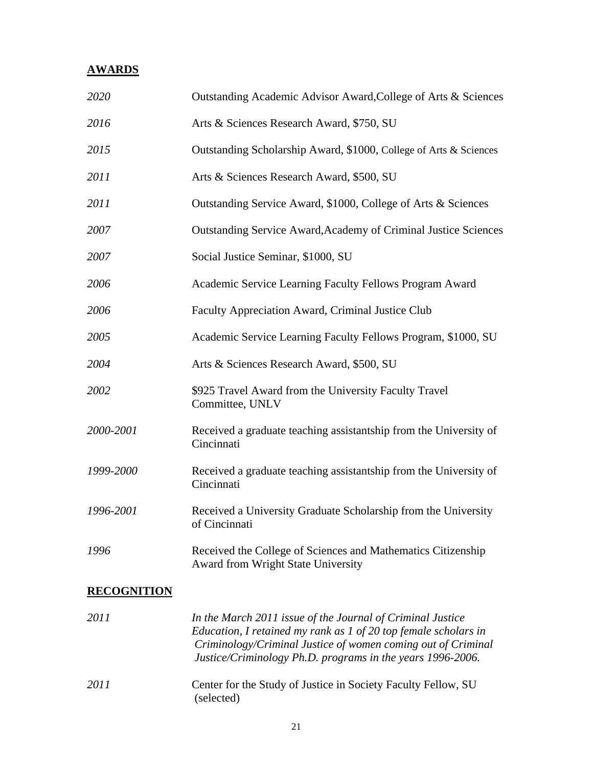# **AWARDS**

| 2020               | Outstanding Academic Advisor Award, College of Arts & Sciences                                     |  |
|--------------------|----------------------------------------------------------------------------------------------------|--|
| 2016               | Arts & Sciences Research Award, \$750, SU                                                          |  |
| 2015               | Outstanding Scholarship Award, \$1000, College of Arts & Sciences                                  |  |
| 2011               | Arts & Sciences Research Award, \$500, SU                                                          |  |
| 2011               | Outstanding Service Award, \$1000, College of Arts & Sciences                                      |  |
| 2007               | Outstanding Service Award, Academy of Criminal Justice Sciences                                    |  |
| 2007               | Social Justice Seminar, \$1000, SU                                                                 |  |
| 2006               | Academic Service Learning Faculty Fellows Program Award                                            |  |
| 2006               | Faculty Appreciation Award, Criminal Justice Club                                                  |  |
| 2005               | Academic Service Learning Faculty Fellows Program, \$1000, SU                                      |  |
| 2004               | Arts & Sciences Research Award, \$500, SU                                                          |  |
| 2002               | \$925 Travel Award from the University Faculty Travel<br>Committee, UNLV                           |  |
| 2000-2001          | Received a graduate teaching assistantship from the University of<br>Cincinnati                    |  |
| 1999-2000          | Received a graduate teaching assistantship from the University of<br>Cincinnati                    |  |
| 1996-2001          | Received a University Graduate Scholarship from the University<br>of Cincinnati                    |  |
| 1996               | Received the College of Sciences and Mathematics Citizenship<br>Award from Wright State University |  |
| <b>RECOGNITION</b> |                                                                                                    |  |
| 2011               | In the March 2011 issue of the Journal of Criminal Justice                                         |  |

| <i>ZUTT</i> | In the March 2011 issue of the Journal of Criminal Justice<br>Education, I retained my rank as $1$ of 20 top female scholars in<br>Criminology/Criminal Justice of women coming out of Criminal<br>Justice/Criminology Ph.D. programs in the years 1996-2006. |
|-------------|---------------------------------------------------------------------------------------------------------------------------------------------------------------------------------------------------------------------------------------------------------------|
| 2011        | Center for the Study of Justice in Society Faculty Fellow, SU<br>(selected)                                                                                                                                                                                   |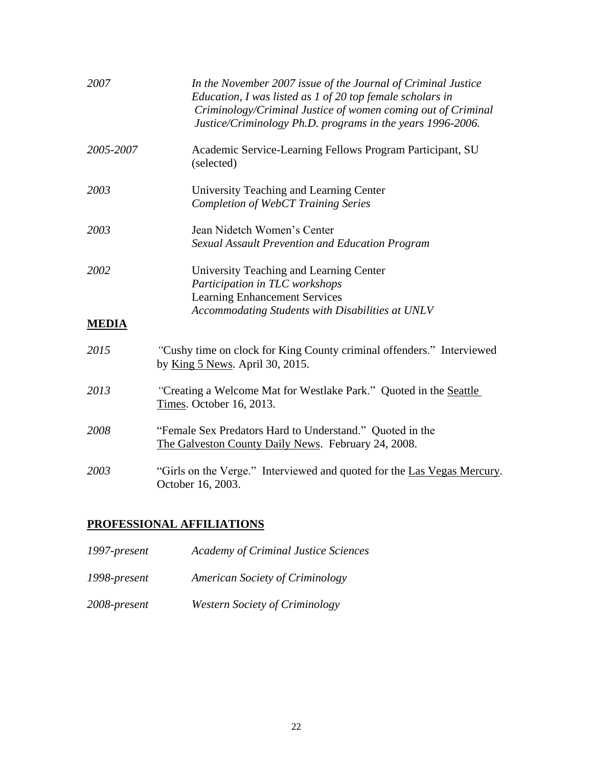| 2007                 | In the November 2007 issue of the Journal of Criminal Justice<br>Education, I was listed as 1 of 20 top female scholars in<br>Criminology/Criminal Justice of women coming out of Criminal<br>Justice/Criminology Ph.D. programs in the years 1996-2006. |  |
|----------------------|----------------------------------------------------------------------------------------------------------------------------------------------------------------------------------------------------------------------------------------------------------|--|
| 2005-2007            | Academic Service-Learning Fellows Program Participant, SU<br>(selected)                                                                                                                                                                                  |  |
| 2003                 | University Teaching and Learning Center<br><b>Completion of WebCT Training Series</b>                                                                                                                                                                    |  |
| 2003                 | Jean Nidetch Women's Center<br>Sexual Assault Prevention and Education Program                                                                                                                                                                           |  |
| 2002<br><b>MEDIA</b> | University Teaching and Learning Center<br>Participation in TLC workshops<br><b>Learning Enhancement Services</b><br>Accommodating Students with Disabilities at UNLV                                                                                    |  |
| 2015                 | "Cushy time on clock for King County criminal offenders." Interviewed<br>by King 5 News. April 30, 2015.                                                                                                                                                 |  |
| 2013                 | "Creating a Welcome Mat for Westlake Park." Quoted in the Seattle<br>Times. October 16, 2013.                                                                                                                                                            |  |
| 2008                 | "Female Sex Predators Hard to Understand." Quoted in the<br>The Galveston County Daily News. February 24, 2008.                                                                                                                                          |  |
| 2003                 | "Girls on the Verge." Interviewed and quoted for the Las Vegas Mercury.<br>October 16, 2003.                                                                                                                                                             |  |

# **PROFESSIONAL AFFILIATIONS**

| 1997-present | <b>Academy of Criminal Justice Sciences</b> |
|--------------|---------------------------------------------|
|              |                                             |

- *1998-present American Society of Criminology*
- *2008-present Western Society of Criminology*